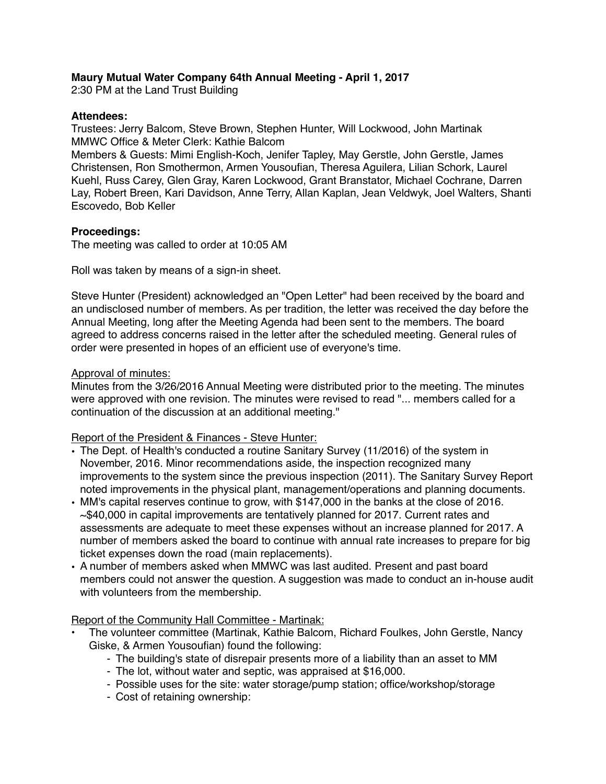## **Maury Mutual Water Company 64th Annual Meeting - April 1, 2017**

2:30 PM at the Land Trust Building

## **Attendees:**

Trustees: Jerry Balcom, Steve Brown, Stephen Hunter, Will Lockwood, John Martinak MMWC Office & Meter Clerk: Kathie Balcom

Members & Guests: Mimi English-Koch, Jenifer Tapley, May Gerstle, John Gerstle, James Christensen, Ron Smothermon, Armen Yousoufian, Theresa Aguilera, Lilian Schork, Laurel Kuehl, Russ Carey, Glen Gray, Karen Lockwood, Grant Branstator, Michael Cochrane, Darren Lay, Robert Breen, Kari Davidson, Anne Terry, Allan Kaplan, Jean Veldwyk, Joel Walters, Shanti Escovedo, Bob Keller

### **Proceedings:**

The meeting was called to order at 10:05 AM

Roll was taken by means of a sign-in sheet.

Steve Hunter (President) acknowledged an "Open Letter" had been received by the board and an undisclosed number of members. As per tradition, the letter was received the day before the Annual Meeting, long after the Meeting Agenda had been sent to the members. The board agreed to address concerns raised in the letter after the scheduled meeting. General rules of order were presented in hopes of an efficient use of everyone's time.

### Approval of minutes:

Minutes from the 3/26/2016 Annual Meeting were distributed prior to the meeting. The minutes were approved with one revision. The minutes were revised to read "... members called for a continuation of the discussion at an additional meeting."

#### Report of the President & Finances - Steve Hunter:

- The Dept. of Health's conducted a routine Sanitary Survey (11/2016) of the system in November, 2016. Minor recommendations aside, the inspection recognized many improvements to the system since the previous inspection (2011). The Sanitary Survey Report noted improvements in the physical plant, management/operations and planning documents.
- MM's capital reserves continue to grow, with \$147,000 in the banks at the close of 2016. ~\$40,000 in capital improvements are tentatively planned for 2017. Current rates and assessments are adequate to meet these expenses without an increase planned for 2017. A number of members asked the board to continue with annual rate increases to prepare for big ticket expenses down the road (main replacements).
- A number of members asked when MMWC was last audited. Present and past board members could not answer the question. A suggestion was made to conduct an in-house audit with volunteers from the membership.

#### Report of the Community Hall Committee - Martinak:

- The volunteer committee (Martinak, Kathie Balcom, Richard Foulkes, John Gerstle, Nancy Giske, & Armen Yousoufian) found the following:
	- The building's state of disrepair presents more of a liability than an asset to MM
	- The lot, without water and septic, was appraised at \$16,000.
	- Possible uses for the site: water storage/pump station; office/workshop/storage
	- Cost of retaining ownership: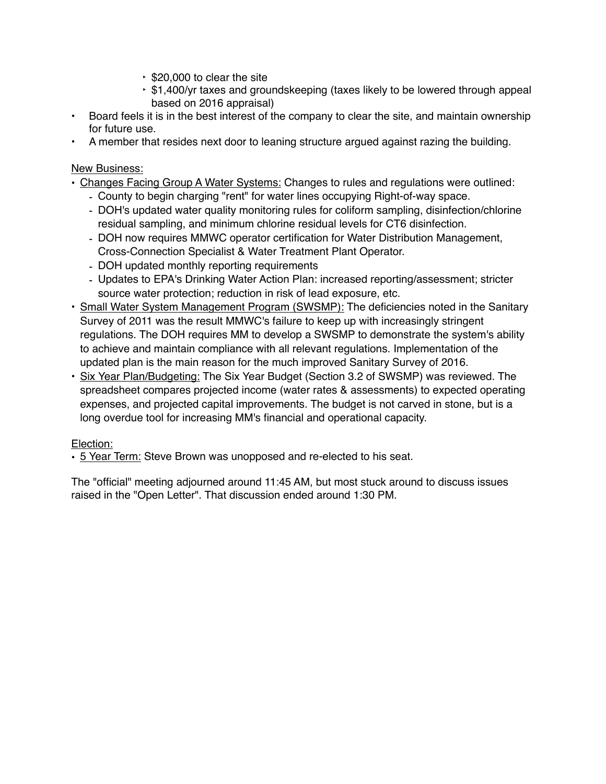- ‣ \$20,000 to clear the site
- ‣ \$1,400/yr taxes and groundskeeping (taxes likely to be lowered through appeal based on 2016 appraisal)
- Board feels it is in the best interest of the company to clear the site, and maintain ownership for future use.
- A member that resides next door to leaning structure argued against razing the building.

New Business:

- Changes Facing Group A Water Systems: Changes to rules and regulations were outlined:
	- County to begin charging "rent" for water lines occupying Right-of-way space.
	- DOH's updated water quality monitoring rules for coliform sampling, disinfection/chlorine residual sampling, and minimum chlorine residual levels for CT6 disinfection.
	- DOH now requires MMWC operator certification for Water Distribution Management, Cross-Connection Specialist & Water Treatment Plant Operator.
	- DOH updated monthly reporting requirements
	- Updates to EPA's Drinking Water Action Plan: increased reporting/assessment; stricter source water protection; reduction in risk of lead exposure, etc.
- Small Water System Management Program (SWSMP): The deficiencies noted in the Sanitary Survey of 2011 was the result MMWC's failure to keep up with increasingly stringent regulations. The DOH requires MM to develop a SWSMP to demonstrate the system's ability to achieve and maintain compliance with all relevant regulations. Implementation of the updated plan is the main reason for the much improved Sanitary Survey of 2016.
- Six Year Plan/Budgeting: The Six Year Budget (Section 3.2 of SWSMP) was reviewed. The spreadsheet compares projected income (water rates & assessments) to expected operating expenses, and projected capital improvements. The budget is not carved in stone, but is a long overdue tool for increasing MM's financial and operational capacity.

# Election:

• 5 Year Term: Steve Brown was unopposed and re-elected to his seat.

The "official" meeting adjourned around 11:45 AM, but most stuck around to discuss issues raised in the "Open Letter". That discussion ended around 1:30 PM.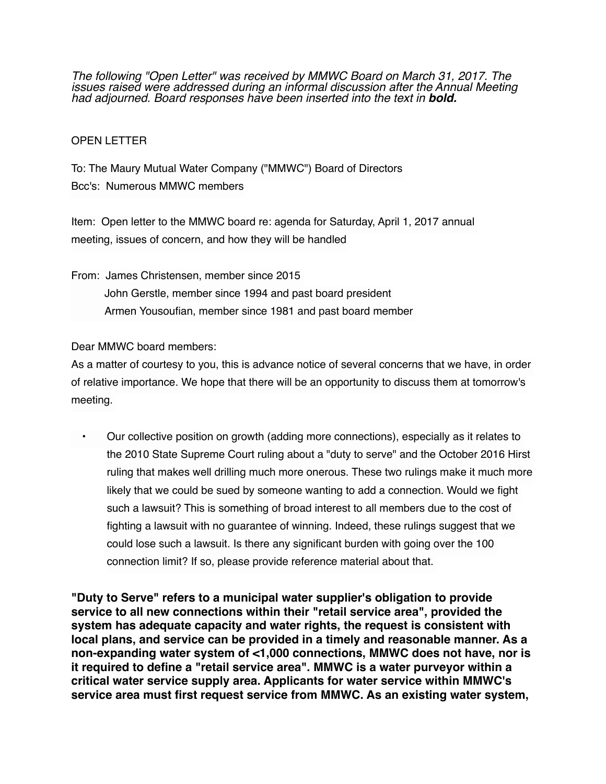*The following "Open Letter" was received by MMWC Board on March 31, 2017. The issues raised were addressed during an informal discussion after the Annual Meeting had adjourned. Board responses have been inserted into the text in bold.*

## OPEN LETTER

To: The Maury Mutual Water Company ("MMWC") Board of Directors Bcc's: Numerous MMWC members

Item: Open letter to the MMWC board re: agenda for Saturday, April 1, 2017 annual meeting, issues of concern, and how they will be handled

From: James Christensen, member since 2015 John Gerstle, member since 1994 and past board president Armen Yousoufian, member since 1981 and past board member

Dear MMWC board members:

As a matter of courtesy to you, this is advance notice of several concerns that we have, in order of relative importance. We hope that there will be an opportunity to discuss them at tomorrow's meeting.

• Our collective position on growth (adding more connections), especially as it relates to the 2010 State Supreme Court ruling about a "duty to serve" and the October 2016 Hirst ruling that makes well drilling much more onerous. These two rulings make it much more likely that we could be sued by someone wanting to add a connection. Would we fight such a lawsuit? This is something of broad interest to all members due to the cost of fighting a lawsuit with no guarantee of winning. Indeed, these rulings suggest that we could lose such a lawsuit. Is there any significant burden with going over the 100 connection limit? If so, please provide reference material about that.

**"Duty to Serve" refers to a municipal water supplier's obligation to provide service to all new connections within their "retail service area", provided the system has adequate capacity and water rights, the request is consistent with local plans, and service can be provided in a timely and reasonable manner. As a non-expanding water system of <1,000 connections, MMWC does not have, nor is it required to define a "retail service area". MMWC is a water purveyor within a critical water service supply area. Applicants for water service within MMWC's service area must first request service from MMWC. As an existing water system,**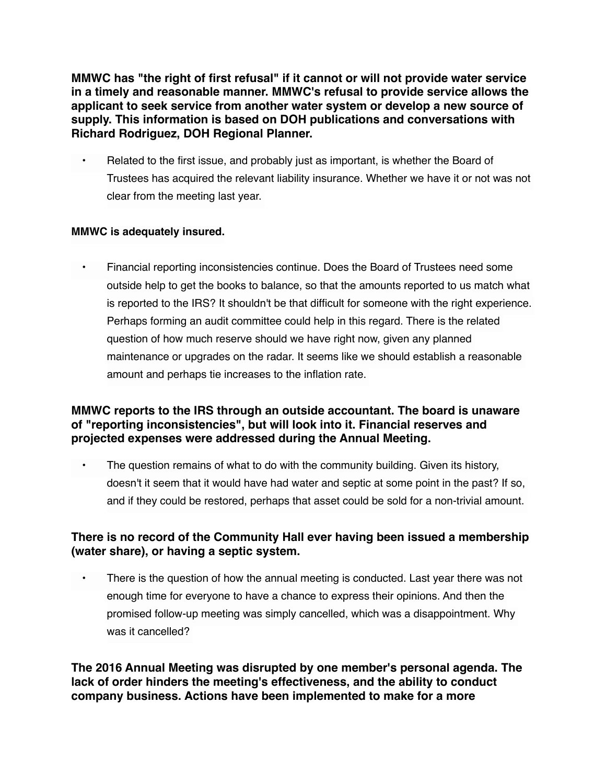**MMWC has "the right of first refusal" if it cannot or will not provide water service in a timely and reasonable manner. MMWC's refusal to provide service allows the applicant to seek service from another water system or develop a new source of supply. This information is based on DOH publications and conversations with Richard Rodriguez, DOH Regional Planner.**

• Related to the first issue, and probably just as important, is whether the Board of Trustees has acquired the relevant liability insurance. Whether we have it or not was not clear from the meeting last year.

# **MMWC is adequately insured.**

• Financial reporting inconsistencies continue. Does the Board of Trustees need some outside help to get the books to balance, so that the amounts reported to us match what is reported to the IRS? It shouldn't be that difficult for someone with the right experience. Perhaps forming an audit committee could help in this regard. There is the related question of how much reserve should we have right now, given any planned maintenance or upgrades on the radar. It seems like we should establish a reasonable amount and perhaps tie increases to the inflation rate.

# **MMWC reports to the IRS through an outside accountant. The board is unaware of "reporting inconsistencies", but will look into it. Financial reserves and projected expenses were addressed during the Annual Meeting.**

• The question remains of what to do with the community building. Given its history, doesn't it seem that it would have had water and septic at some point in the past? If so, and if they could be restored, perhaps that asset could be sold for a non-trivial amount.

# **There is no record of the Community Hall ever having been issued a membership (water share), or having a septic system.**

There is the question of how the annual meeting is conducted. Last year there was not enough time for everyone to have a chance to express their opinions. And then the promised follow-up meeting was simply cancelled, which was a disappointment. Why was it cancelled?

**The 2016 Annual Meeting was disrupted by one member's personal agenda. The lack of order hinders the meeting's effectiveness, and the ability to conduct company business. Actions have been implemented to make for a more**